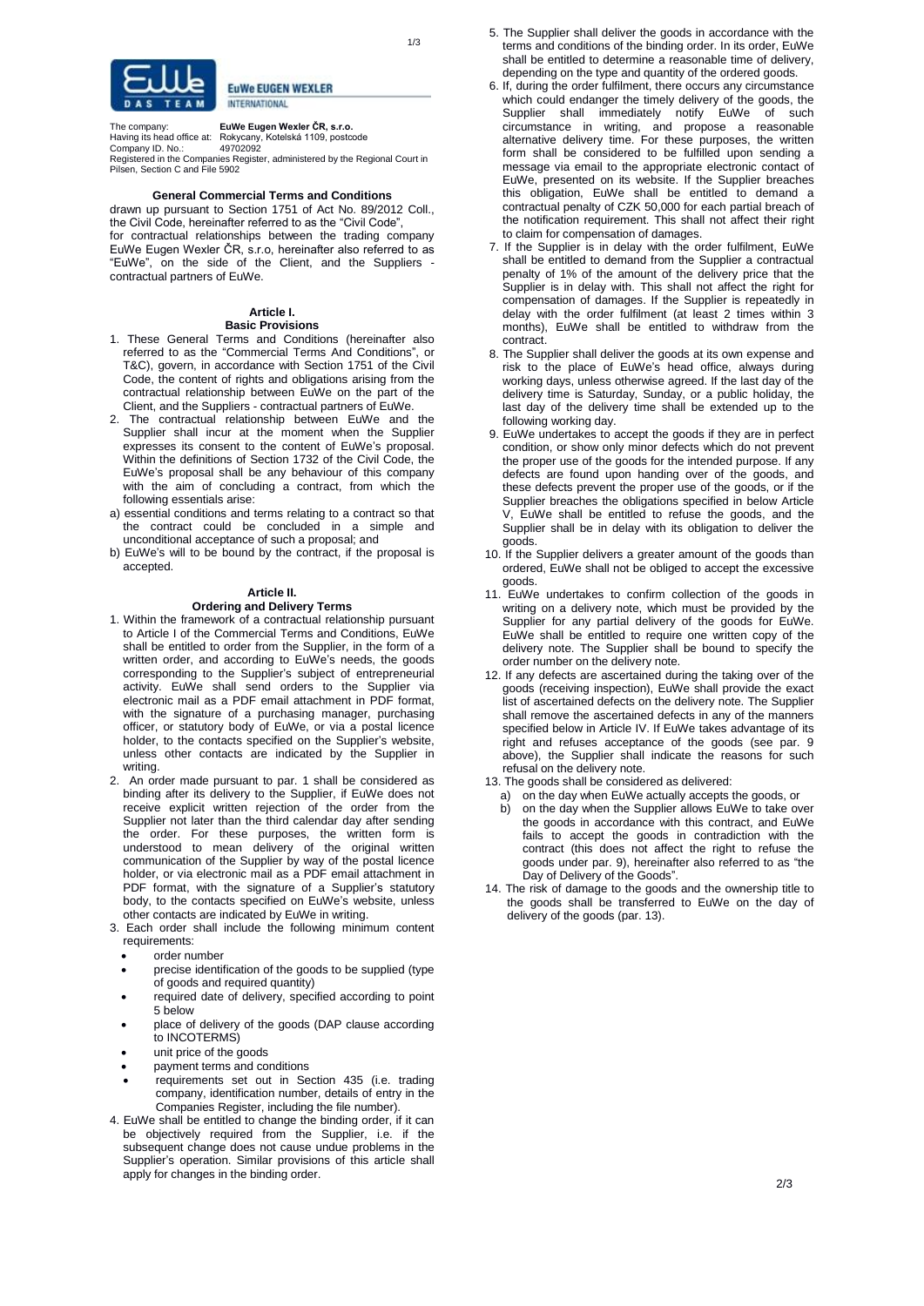



**EuWe EUGEN WEXLER INTERNATIONAL** 

The company: **EuWe Eugen Wexler ČR, s.r.o.** Having its head office at: Rokycany, Kotelská 1109, postcode Company ID. No.: 49702092 Registered in the Companies Register, administered by the Regional Court in Pilsen, Section C and File 5902

### **General Commercial Terms and Conditions**

drawn up pursuant to Section 1751 of Act No. 89/2012 Coll., the Civil Code, hereinafter referred to as the "Civil Code", for contractual relationships between the trading company EuWe Eugen Wexler ČR, s.r.o, hereinafter also referred to as "EuWe", on the side of the Client, and the Suppliers contractual partners of EuWe.

#### **Article I. Basic Provisions**

- 1. These General Terms and Conditions (hereinafter also referred to as the "Commercial Terms And Conditions", or T&C), govern, in accordance with Section 1751 of the Civil Code, the content of rights and obligations arising from the contractual relationship between EuWe on the part of the Client, and the Suppliers - contractual partners of EuWe.
- 2. The contractual relationship between EuWe and the Supplier shall incur at the moment when the Supplier expresses its consent to the content of EuWe's proposal. Within the definitions of Section 1732 of the Civil Code, the EuWe's proposal shall be any behaviour of this company with the aim of concluding a contract, from which the following essentials arise:
- a) essential conditions and terms relating to a contract so that the contract could be concluded in a simple and unconditional acceptance of such a proposal; and
- b) EuWe's will to be bound by the contract, if the proposal is accepted.

### **Article II.**

### **Ordering and Delivery Terms**

- 1. Within the framework of a contractual relationship pursuant to Article I of the Commercial Terms and Conditions, EuWe shall be entitled to order from the Supplier, in the form of a written order, and according to EuWe's needs, the goods corresponding to the Supplier's subject of entrepreneurial activity. EuWe shall send orders to the Supplier via electronic mail as a PDF email attachment in PDF format, with the signature of a purchasing manager, purchasing officer, or statutory body of EuWe, or via a postal licence holder, to the contacts specified on the Supplier's website, unless other contacts are indicated by the Supplier in writing.
- 2. An order made pursuant to par. 1 shall be considered as binding after its delivery to the Supplier, if EuWe does not receive explicit written rejection of the order from the Supplier not later than the third calendar day after sending the order. For these purposes, the written form is understood to mean delivery of the original written communication of the Supplier by way of the postal licence holder, or via electronic mail as a PDF email attachment in PDF format, with the signature of a Supplier's statutory body, to the contacts specified on EuWe's website, unless other contacts are indicated by EuWe in writing.
- 3. Each order shall include the following minimum content requirements:
	- order number
	- precise identification of the goods to be supplied (type of goods and required quantity)
	- required date of delivery, specified according to point 5 below
	- place of delivery of the goods (DAP clause according to INCOTERMS)
	- unit price of the goods
	- payment terms and conditions
	- requirements set out in Section 435 (i.e. trading company, identification number, details of entry in the Companies Register, including the file number).
- 4. EuWe shall be entitled to change the binding order, if it can be objectively required from the Supplier, i.e. if the subsequent change does not cause undue problems in the Supplier's operation. Similar provisions of this article shall apply for changes in the binding order.
- 5. The Supplier shall deliver the goods in accordance with the terms and conditions of the binding order. In its order, EuWe shall be entitled to determine a reasonable time of delivery, depending on the type and quantity of the ordered goods.
- 6. If, during the order fulfilment, there occurs any circumstance which could endanger the timely delivery of the goods, the Supplier shall immediately notify EuWe of such circumstance in writing, and propose a reasonable alternative delivery time. For these purposes, the written form shall be considered to be fulfilled upon sending a message via email to the appropriate electronic contact of EuWe, presented on its website. If the Supplier breaches this obligation, EuWe shall be entitled to demand a contractual penalty of CZK 50,000 for each partial breach of the notification requirement. This shall not affect their right to claim for compensation of damages.
- 7. If the Supplier is in delay with the order fulfilment, EuWe shall be entitled to demand from the Supplier a contractual penalty of 1% of the amount of the delivery price that the Supplier is in delay with. This shall not affect the right for compensation of damages. If the Supplier is repeatedly in delay with the order fulfilment (at least 2 times within 3 months), EuWe shall be entitled to withdraw from the contract.
- 8. The Supplier shall deliver the goods at its own expense and risk to the place of EuWe's head office, always during working days, unless otherwise agreed. If the last day of the delivery time is Saturday, Sunday, or a public holiday, the last day of the delivery time shall be extended up to the following working day.
- 9. EuWe undertakes to accept the goods if they are in perfect condition, or show only minor defects which do not prevent the proper use of the goods for the intended purpose. If any defects are found upon handing over of the goods, and these defects prevent the proper use of the goods, or if the Supplier breaches the obligations specified in below Article V, EuWe shall be entitled to refuse the goods, and the Supplier shall be in delay with its obligation to deliver the goods.
- 10. If the Supplier delivers a greater amount of the goods than ordered, EuWe shall not be obliged to accept the excessive goods.
- 11. EuWe undertakes to confirm collection of the goods in writing on a delivery note, which must be provided by the Supplier for any partial delivery of the goods for EuWe. EuWe shall be entitled to require one written copy of the delivery note. The Supplier shall be bound to specify the order number on the delivery note.
- 12. If any defects are ascertained during the taking over of the goods (receiving inspection), EuWe shall provide the exact list of ascertained defects on the delivery note. The Supplier shall remove the ascertained defects in any of the manners specified below in Article IV. If EuWe takes advantage of its right and refuses acceptance of the goods (see par. 9 above), the Supplier shall indicate the reasons for such refusal on the delivery note.
- 13. The goods shall be considered as delivered:
	- a) on the day when EuWe actually accepts the goods, or b) on the day when the Supplier allows EuWe to take ov
	- on the day when the Supplier allows EuWe to take over the goods in accordance with this contract, and EuWe fails to accept the goods in contradiction with the contract (this does not affect the right to refuse the goods under par. 9), hereinafter also referred to as "the Day of Delivery of the Goods".
- 14. The risk of damage to the goods and the ownership title to the goods shall be transferred to EuWe on the day of delivery of the goods (par. 13).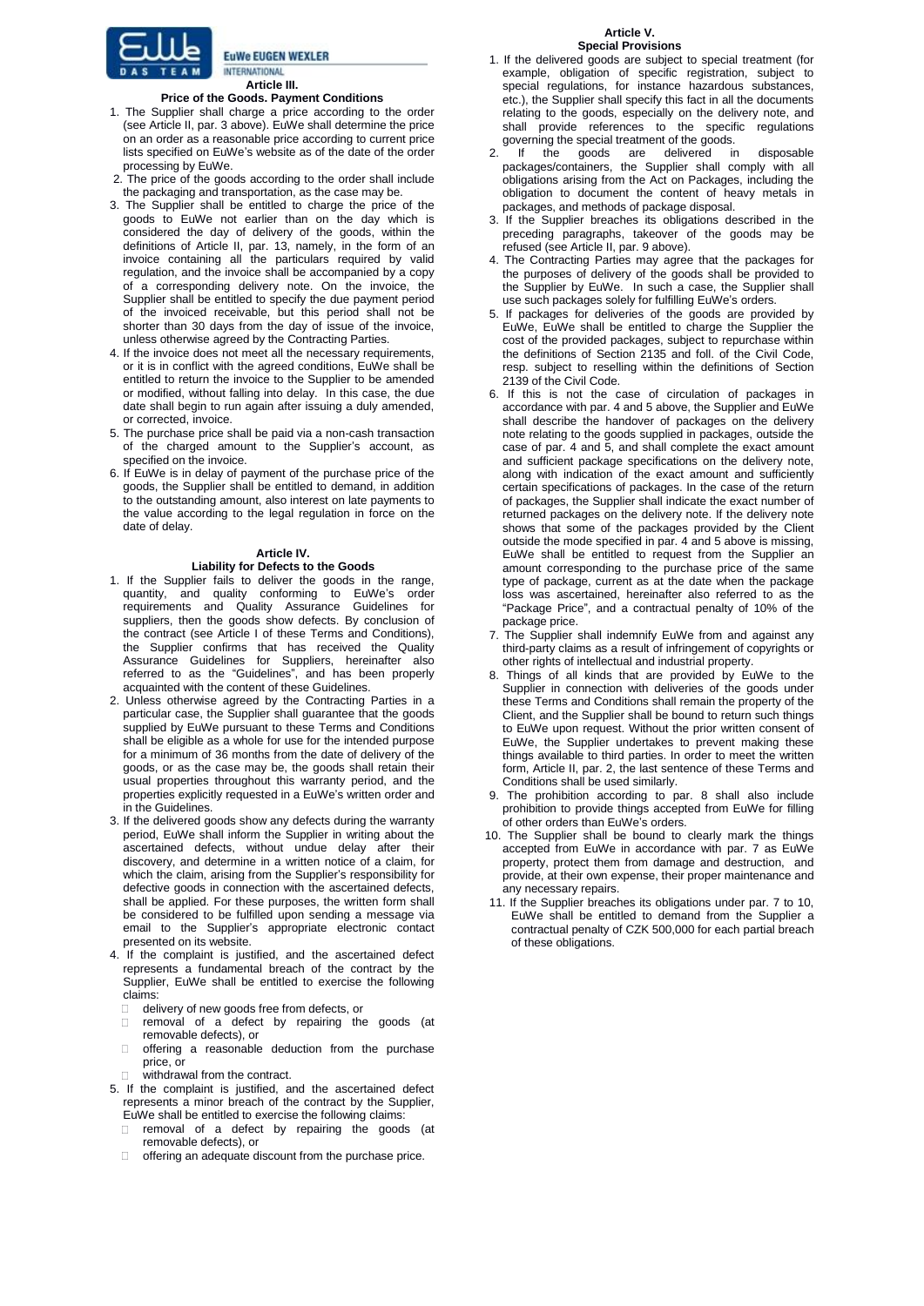

**INTERNATIONAL Article III.**

# **Price of the Goods. Payment Conditions**

**EuWe EUGEN WEXLER** 

- 1. The Supplier shall charge a price according to the order (see Article II, par. 3 above). EuWe shall determine the price on an order as a reasonable price according to current price lists specified on EuWe's website as of the date of the order processing by EuWe.
- 2. The price of the goods according to the order shall include the packaging and transportation, as the case may be.
- 3. The Supplier shall be entitled to charge the price of the goods to EuWe not earlier than on the day which is considered the day of delivery of the goods, within the definitions of Article II, par. 13, namely, in the form of an invoice containing all the particulars required by valid regulation, and the invoice shall be accompanied by a copy of a corresponding delivery note. On the invoice, the Supplier shall be entitled to specify the due payment period of the invoiced receivable, but this period shall not be shorter than 30 days from the day of issue of the invoice, unless otherwise agreed by the Contracting Parties.
- 4. If the invoice does not meet all the necessary requirements, or it is in conflict with the agreed conditions, EuWe shall be entitled to return the invoice to the Supplier to be amended or modified, without falling into delay. In this case, the due date shall begin to run again after issuing a duly amended, or corrected, invoice.
- 5. The purchase price shall be paid via a non-cash transaction of the charged amount to the Supplier's account, as specified on the invoice.
- 6. If EuWe is in delay of payment of the purchase price of the goods, the Supplier shall be entitled to demand, in addition to the outstanding amount, also interest on late payments to the value according to the legal regulation in force on the date of delay.

### **Article IV.**

## **Liability for Defects to the Goods**

- 1. If the Supplier fails to deliver the goods in the range, quantity, and quality conforming to EuWe's order requirements and Quality Assurance Guidelines for suppliers, then the goods show defects. By conclusion of the contract (see Article I of these Terms and Conditions), the Supplier confirms that has received the Quality Assurance Guidelines for Suppliers, hereinafter also referred to as the "Guidelines", and has been properly acquainted with the content of these Guidelines.
- 2. Unless otherwise agreed by the Contracting Parties in a particular case, the Supplier shall guarantee that the goods supplied by EuWe pursuant to these Terms and Conditions shall be eligible as a whole for use for the intended purpose for a minimum of 36 months from the date of delivery of the goods, or as the case may be, the goods shall retain their usual properties throughout this warranty period, and the properties explicitly requested in a EuWe's written order and in the Guidelines.
- 3. If the delivered goods show any defects during the warranty period, EuWe shall inform the Supplier in writing about the ascertained defects, without undue delay after their discovery, and determine in a written notice of a claim, for which the claim, arising from the Supplier's responsibility for defective goods in connection with the ascertained defects, shall be applied. For these purposes, the written form shall be considered to be fulfilled upon sending a message via email to the Supplier's appropriate electronic contact presented on its website.
- 4. If the complaint is justified, and the ascertained defect represents a fundamental breach of the contract by the Supplier, EuWe shall be entitled to exercise the following claims:
	- delivery of new goods free from defects, or
	- removal of a defect by repairing the goods (at removable defects), or
	- $\Box$ offering a reasonable deduction from the purchase price, or
	- withdrawal from the contract.
- 5. If the complaint is justified, and the ascertained defect represents a minor breach of the contract by the Supplier,
	- EuWe shall be entitled to exercise the following claims: removal of a defect by repairing the goods (at removable defects), or
	- $\Box$ offering an adequate discount from the purchase price.
- 1. If the delivered goods are subject to special treatment (for example, obligation of specific registration, subject to special regulations, for instance hazardous substances, etc.), the Supplier shall specify this fact in all the documents relating to the goods, especially on the delivery note, and shall provide references to the specific regulations governing the special treatment of the goods.
- If the goods are delivered in disposable packages/containers, the Supplier shall comply with all obligations arising from the Act on Packages, including the obligation to document the content of heavy metals in packages, and methods of package disposal.
- 3. If the Supplier breaches its obligations described in the preceding paragraphs, takeover of the goods may be refused (see Article II, par. 9 above).
- 4. The Contracting Parties may agree that the packages for the purposes of delivery of the goods shall be provided to the Supplier by EuWe. In such a case, the Supplier shall use such packages solely for fulfilling EuWe's orders.
- 5. If packages for deliveries of the goods are provided by EuWe, EuWe shall be entitled to charge the Supplier the cost of the provided packages, subject to repurchase within the definitions of Section 2135 and foll. of the Civil Code, resp. subject to reselling within the definitions of Section 2139 of the Civil Code.
- 6. If this is not the case of circulation of packages in accordance with par. 4 and 5 above, the Supplier and EuWe shall describe the handover of packages on the delivery note relating to the goods supplied in packages, outside the case of par. 4 and 5, and shall complete the exact amount and sufficient package specifications on the delivery note, along with indication of the exact amount and sufficiently certain specifications of packages. In the case of the return of packages, the Supplier shall indicate the exact number of returned packages on the delivery note. If the delivery note shows that some of the packages provided by the Client outside the mode specified in par. 4 and 5 above is missing, EuWe shall be entitled to request from the Supplier an amount corresponding to the purchase price of the same type of package, current as at the date when the package loss was ascertained, hereinafter also referred to as the "Package Price", and a contractual penalty of 10% of the package price.
- 7. The Supplier shall indemnify EuWe from and against any third-party claims as a result of infringement of copyrights or other rights of intellectual and industrial property.
- 8. Things of all kinds that are provided by EuWe to the Supplier in connection with deliveries of the goods under these Terms and Conditions shall remain the property of the Client, and the Supplier shall be bound to return such things to EuWe upon request. Without the prior written consent of EuWe, the Supplier undertakes to prevent making these things available to third parties. In order to meet the written form, Article II, par. 2, the last sentence of these Terms and Conditions shall be used similarly.
- 9. The prohibition according to par. 8 shall also include prohibition to provide things accepted from EuWe for filling of other orders than EuWe's orders.
- 10. The Supplier shall be bound to clearly mark the things accepted from EuWe in accordance with par. 7 as EuWe property, protect them from damage and destruction, and provide, at their own expense, their proper maintenance and any necessary repairs.
- 11. If the Supplier breaches its obligations under par. 7 to 10, EuWe shall be entitled to demand from the Supplier a contractual penalty of CZK 500,000 for each partial breach of these obligations.